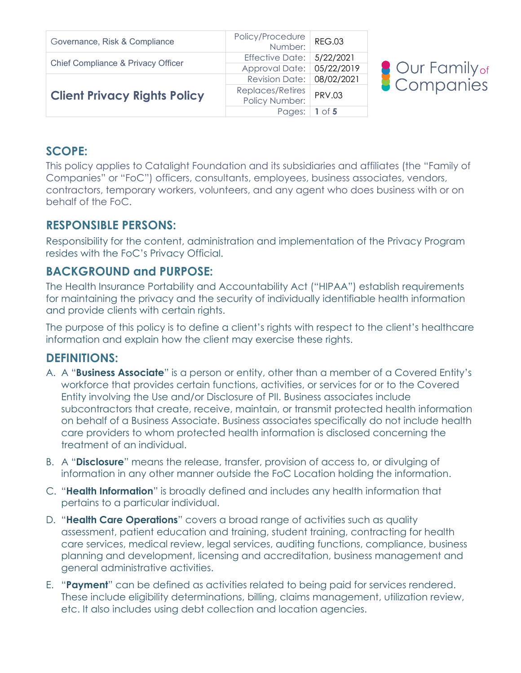| Governance, Risk & Compliance       | Policy/Procedure<br>:Number   | <b>REG.03</b> |  |
|-------------------------------------|-------------------------------|---------------|--|
| Chief Compliance & Privacy Officer  | Effective Date: $  5/22/2021$ |               |  |
|                                     | Approval Date: 05/22/2019     |               |  |
| <b>Client Privacy Rights Policy</b> | Revision Date: 08/02/2021     |               |  |
|                                     | Replaces/Retires              | <b>PRV.03</b> |  |
|                                     | Policy Number:                |               |  |
|                                     | Pages:                        | 1 of $5$      |  |



#### **SCOPE:**

This policy applies to Catalight Foundation and its subsidiaries and affiliates (the "Family of Companies" or "FoC") officers, consultants, employees, business associates, vendors, contractors, temporary workers, volunteers, and any agent who does business with or on behalf of the FoC.

## **RESPONSIBLE PERSONS:**

Responsibility for the content, administration and implementation of the Privacy Program resides with the FoC's Privacy Official.

# **BACKGROUND and PURPOSE:**

The Health Insurance Portability and Accountability Act ("HIPAA") establish requirements for maintaining the privacy and the security of individually identifiable health information and provide clients with certain rights.

The purpose of this policy is to define a client's rights with respect to the client's healthcare information and explain how the client may exercise these rights.

## **DEFINITIONS:**

- A. A "**Business Associate**" is a person or entity, other than a member of a Covered Entity's workforce that provides certain functions, activities, or services for or to the Covered Entity involving the Use and/or Disclosure of PII. Business associates include subcontractors that create, receive, maintain, or transmit protected health information on behalf of a Business Associate. Business associates specifically do not include health care providers to whom protected health information is disclosed concerning the treatment of an individual.
- B. A "**Disclosure**" means the release, transfer, provision of access to, or divulging of information in any other manner outside the FoC Location holding the information.
- C. "**Health Information**" is broadly defined and includes any health information that pertains to a particular individual.
- D. "**Health Care Operations**" covers a broad range of activities such as quality assessment, patient education and training, student training, contracting for health care services, medical review, legal services, auditing functions, compliance, business planning and development, licensing and accreditation, business management and general administrative activities.
- E. "**Payment**" can be defined as activities related to being paid for services rendered. These include eligibility determinations, billing, claims management, utilization review, etc. It also includes using debt collection and location agencies.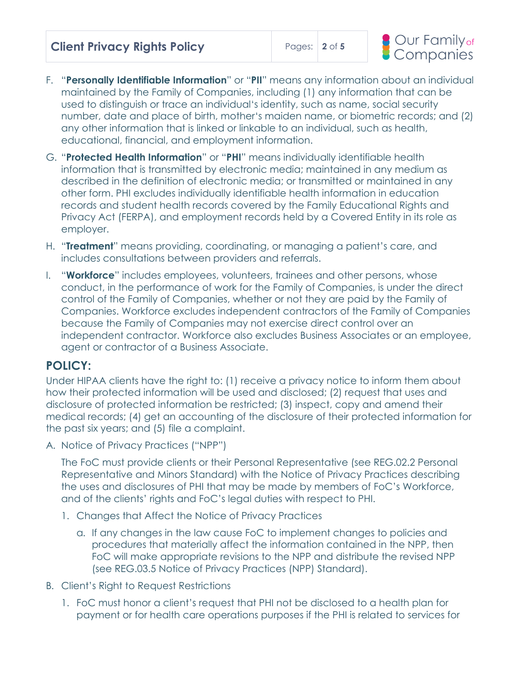| <b>Client Privacy Rights Policy</b> |  |  | Pages: $2$ of 5 |  |
|-------------------------------------|--|--|-----------------|--|
|-------------------------------------|--|--|-----------------|--|



- F. "**Personally Identifiable Information**" or "**PII**" means any information about an individual maintained by the Family of Companies, including (1) any information that can be used to distinguish or trace an individual's identity, such as name, social security number, date and place of birth, mother's maiden name, or biometric records; and (2) any other information that is linked or linkable to an individual, such as health, educational, financial, and employment information.
- G. "**Protected Health Information**" or "**PHI**" means individually identifiable health information that is transmitted by electronic media; maintained in any medium as described in the definition of electronic media; or transmitted or maintained in any other form. PHI excludes individually identifiable health information in education records and student health records covered by the Family Educational Rights and Privacy Act (FERPA), and employment records held by a Covered Entity in its role as employer.
- H. "**Treatment**" means providing, coordinating, or managing a patient's care, and includes consultations between providers and referrals.
- I. "**Workforce**" includes employees, volunteers, trainees and other persons, whose conduct, in the performance of work for the Family of Companies, is under the direct control of the Family of Companies, whether or not they are paid by the Family of Companies. Workforce excludes independent contractors of the Family of Companies because the Family of Companies may not exercise direct control over an independent contractor. Workforce also excludes Business Associates or an employee, agent or contractor of a Business Associate.

## **POLICY:**

Under HIPAA clients have the right to: (1) receive a privacy notice to inform them about how their protected information will be used and disclosed; (2) request that uses and disclosure of protected information be restricted; (3) inspect, copy and amend their medical records; (4) get an accounting of the disclosure of their protected information for the past six years; and (5) file a complaint.

A. Notice of Privacy Practices ("NPP")

The FoC must provide clients or their Personal Representative (see REG.02.2 Personal Representative and Minors Standard) with the Notice of Privacy Practices describing the uses and disclosures of PHI that may be made by members of FoC's Workforce, and of the clients' rights and FoC's legal duties with respect to PHI.

- 1. Changes that Affect the Notice of Privacy Practices
	- a. If any changes in the law cause FoC to implement changes to policies and procedures that materially affect the information contained in the NPP, then FoC will make appropriate revisions to the NPP and distribute the revised NPP (see REG.03.5 Notice of Privacy Practices (NPP) Standard).
- B. Client's Right to Request Restrictions
	- 1. FoC must honor a client's request that PHI not be disclosed to a health plan for payment or for health care operations purposes if the PHI is related to services for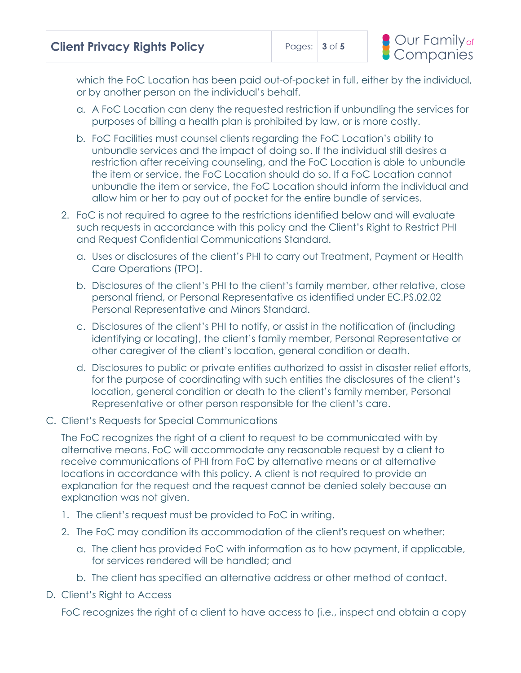which the FoC Location has been paid out-of-pocket in full, either by the individual, or by another person on the individual's behalf.

- a. A FoC Location can deny the requested restriction if unbundling the services for purposes of billing a health plan is prohibited by law, or is more costly.
- b. FoC Facilities must counsel clients regarding the FoC Location's ability to unbundle services and the impact of doing so. If the individual still desires a restriction after receiving counseling, and the FoC Location is able to unbundle the item or service, the FoC Location should do so. If a FoC Location cannot unbundle the item or service, the FoC Location should inform the individual and allow him or her to pay out of pocket for the entire bundle of services.
- 2. FoC is not required to agree to the restrictions identified below and will evaluate such requests in accordance with this policy and the Client's Right to Restrict PHI and Request Confidential Communications Standard.
	- a. Uses or disclosures of the client's PHI to carry out Treatment, Payment or Health Care Operations (TPO).
	- b. Disclosures of the client's PHI to the client's family member, other relative, close personal friend, or Personal Representative as identified under EC.PS.02.02 Personal Representative and Minors Standard.
	- c. Disclosures of the client's PHI to notify, or assist in the notification of (including identifying or locating), the client's family member, Personal Representative or other caregiver of the client's location, general condition or death.
	- d. Disclosures to public or private entities authorized to assist in disaster relief efforts, for the purpose of coordinating with such entities the disclosures of the client's location, general condition or death to the client's family member, Personal Representative or other person responsible for the client's care.
- C. Client's Requests for Special Communications

The FoC recognizes the right of a client to request to be communicated with by alternative means. FoC will accommodate any reasonable request by a client to receive communications of PHI from FoC by alternative means or at alternative locations in accordance with this policy. A client is not required to provide an explanation for the request and the request cannot be denied solely because an explanation was not given.

- 1. The client's request must be provided to FoC in writing.
- 2. The FoC may condition its accommodation of the client's request on whether:
	- a. The client has provided FoC with information as to how payment, if applicable, for services rendered will be handled; and
	- b. The client has specified an alternative address or other method of contact.
- D. Client's Right to Access

FoC recognizes the right of a client to have access to (i.e., inspect and obtain a copy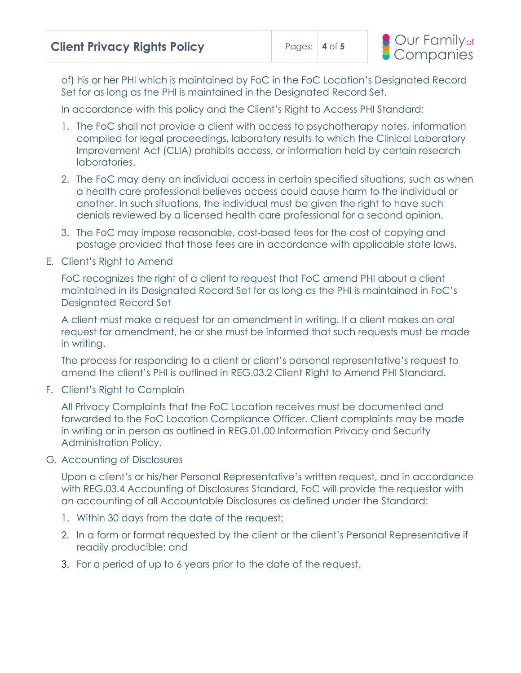of) his or her PHI which is maintained by FoC in the FoC Location's Designated Record Set for as long as the PHI is maintained in the Designated Record Set.

In accordance with this policy and the Client's Right to Access PHI Standard:

- 1. The FoC shall not provide a client with access to psychotherapy notes, information compiled for legal proceedings, laboratory results to which the Clinical Laboratory Improvement Act (CLIA) prohibits access, or information held by certain research laboratories.
- 2. The FoC may deny an individual access in certain specified situations, such as when a health care professional believes access could cause harm to the individual or another. In such situations, the individual must be given the right to have such denials reviewed by a licensed health care professional for a second opinion.
- 3. The FoC may impose reasonable, cost-based fees for the cost of copying and postage provided that those fees are in accordance with applicable state laws.
- E. Client's Right to Amend

FoC recognizes the right of a client to request that FoC amend PHI about a client maintained in its Designated Record Set for as long as the PHI is maintained in FoC's Designated Record Set

A client must make a request for an amendment in writing. If a client makes an oral request for amendment, he or she must be informed that such requests must be made in writing.

The process for responding to a client or client's personal representative's request to amend the client's PHI is outlined in REG.03.2 Client Right to Amend PHI Standard.

F. Client's Right to Complain

All Privacy Complaints that the FoC Location receives must be documented and forwarded to the FoC Location Compliance Officer. Client complaints may be made in writing or in person as outlined in REG.01.00 Information Privacy and Security Administration Policy.

G. Accounting of Disclosures

Upon a client's or his/her Personal Representative's written request, and in accordance with REG.03.4 Accounting of Disclosures Standard, FoC will provide the requestor with an accounting of all Accountable Disclosures as defined under the Standard:

- 1. Within 30 days from the date of the request;
- 2. In a form or format requested by the client or the client's Personal Representative if readily producible; and
- 3. For a period of up to 6 years prior to the date of the request.